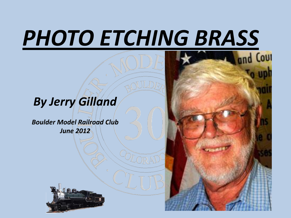# *PHOTO ETCHING BRASS*

#### *By Jerry Gilland*

*Boulder Model Railroad Club June 2012*



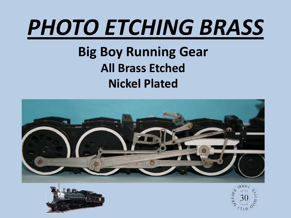# *PHOTO ETCHING BRASS*

### **Big Boy Running Gear All Brass Etched Nickel Plated**





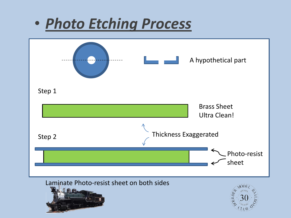### • *Photo Etching Process*

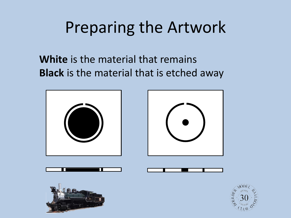### Preparing the Artwork

**White** is the material that remains **Black** is the material that is etched away



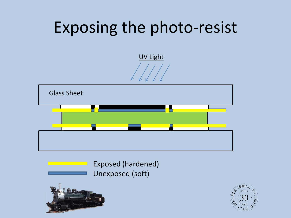### Exposing the photo-resist

UV Light





Exposed (hardened) Unexposed (soft)



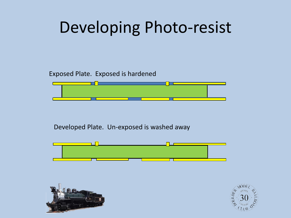### Developing Photo-resist

Exposed Plate. Exposed is hardened



Developed Plate. Un-exposed is washed away





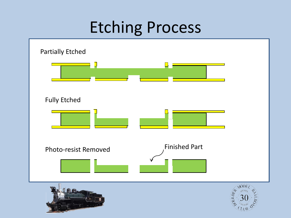### Etching Process

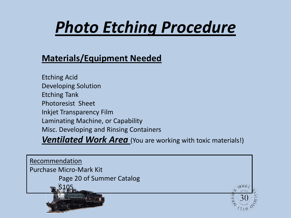## *Photo Etching Procedure*

#### **Materials/Equipment Needed**

Etching Acid Developing Solution Etching Tank Photoresist Sheet Inkjet Transparency Film Laminating Machine, or Capability Misc. Developing and Rinsing Containers

**Ventilated Work Area** (You are working with toxic materials!)

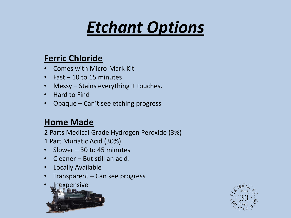# *Etchant Options*

#### **Ferric Chloride**

- Comes with Micro-Mark Kit
- Fast 10 to 15 minutes
- Messy Stains everything it touches.
- Hard to Find
- Opaque Can't see etching progress

#### **Home Made**

2 Parts Medical Grade Hydrogen Peroxide (3%)

- 1 Part Muriatic Acid (30%)
- Slower 30 to 45 minutes
- Cleaner But still an acid!
- Locally Available
- Transparent Can see progress



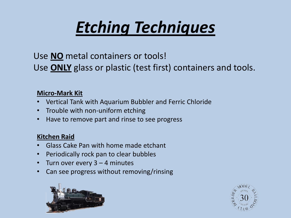## *Etching Techniques*

Use **NO** metal containers or tools! Use **ONLY** glass or plastic (test first) containers and tools.

#### **Micro-Mark Kit**

- Vertical Tank with Aquarium Bubbler and Ferric Chloride
- Trouble with non-uniform etching
- Have to remove part and rinse to see progress

#### **Kitchen Raid**

- Glass Cake Pan with home made etchant
- Periodically rock pan to clear bubbles
- Turn over every  $3 4$  minutes
- Can see progress without removing/rinsing